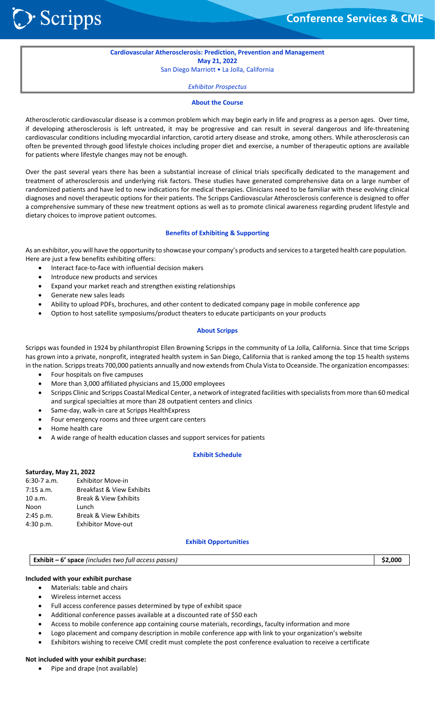**Conference Services & CME** 

#### **Cardiovascular Atherosclerosis: Prediction, Prevention and Management May 21, 2022**

San Diego Marriott • La Jolla, California

*Exhibitor Prospectus*

#### **About the Course**

Atherosclerotic cardiovascular disease is a common problem which may begin early in life and progress as a person ages. Over time, if developing atherosclerosis is left untreated, it may be progressive and can result in several dangerous and life-threatening cardiovascular conditions including myocardial infarction, carotid artery disease and stroke, among others. While atherosclerosis can often be prevented through good lifestyle choices including proper diet and exercise, a number of therapeutic options are available for patients where lifestyle changes may not be enough.

Over the past several years there has been a substantial increase of clinical trials specifically dedicated to the management and treatment of atherosclerosis and underlying risk factors. These studies have generated comprehensive data on a large number of randomized patients and have led to new indications for medical therapies. Clinicians need to be familiar with these evolving clinical diagnoses and novel therapeutic options for their patients. The Scripps Cardiovascular Atherosclerosis conference is designed to offer a comprehensive summary of these new treatment options as well as to promote clinical awareness regarding prudent lifestyle and dietary choices to improve patient outcomes.

# **Benefits of Exhibiting & Supporting**

As an exhibitor, you will have the opportunity to showcase your company's products and services to a targeted health care population. Here are just a few benefits exhibiting offers:

- Interact face-to-face with influential decision makers
- Introduce new products and services
- Expand your market reach and strengthen existing relationships
- Generate new sales leads
- Ability to upload PDFs, brochures, and other content to dedicated company page in mobile conference app
- Option to host satellite symposiums/product theaters to educate participants on your products

#### **About Scripps**

Scripps was founded in 1924 by philanthropist Ellen Browning Scripps in the community of La Jolla, California. Since that time Scripps has grown into a private, nonprofit, integrated health system in San Diego, California that is ranked among the top 15 health systems in the nation. Scripps treats 700,000 patients annually and now extends from Chula Vista to Oceanside. The organization encompasses:

- Four hospitals on five campuses
- More than 3,000 affiliated physicians and 15,000 employees
- Scripps Clinic and Scripps Coastal Medical Center, a network of integrated facilities with specialists from more than 60 medical and surgical specialties at more than 28 outpatient centers and clinics
- Same‐day, walk‐in care at Scripps HealthExpress
- Four emergency rooms and three urgent care centers
- Home health care
- A wide range of health education classes and support services for patients

# **Exhibit Schedule**

#### **Saturday, May 21, 2022**

| 6:30-7 a.m. | <b>Exhibitor Move-in</b>             |
|-------------|--------------------------------------|
| 7:15 a.m.   | <b>Breakfast &amp; View Exhibits</b> |
| 10 a.m.     | <b>Break &amp; View Exhibits</b>     |
| Noon        | Lunch                                |
| 2:45 p.m.   | <b>Break &amp; View Exhibits</b>     |
| 4:30 p.m.   | <b>Exhibitor Move-out</b>            |

#### **Exhibit Opportunities**

# **Exhibit – 6' space** *(includes two full access passes)* **\$2,000**

# **Included with your exhibit purchase**

- Materials: table and chairs
- Wireless internet access
- Full access conference passes determined by type of exhibit space
- Additional conference passes available at a discounted rate of \$50 each
- Access to mobile conference app containing course materials, recordings, faculty information and more
- Logo placement and company description in mobile conference app with link to your organization's website
- Exhibitors wishing to receive CME credit must complete the post conference evaluation to receive a certificate

# **Not included with your exhibit purchase:**

• Pipe and drape (not available)

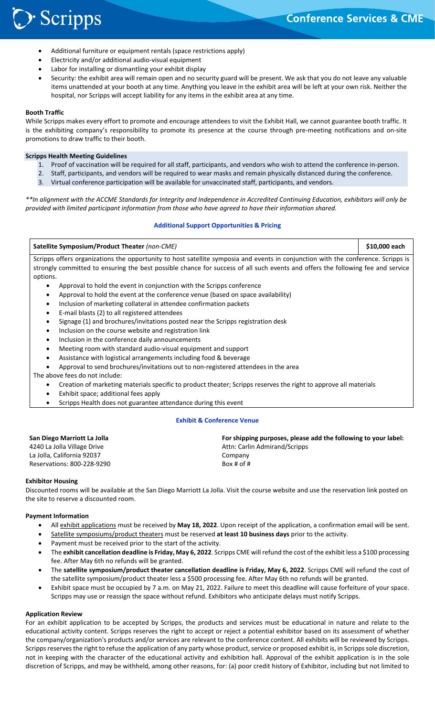# > Scripps

- Additional furniture or equipment rentals (space restrictions apply)
- Electricity and/or additional audio‐visual equipment
- Labor for installing or dismantling your exhibit display
- Security: the exhibit area will remain open and no security guard will be present. We ask that you do not leave any valuable items unattended at your booth at any time. Anything you leave in the exhibit area will be left at your own risk. Neither the hospital, nor Scripps will accept liability for any items in the exhibit area at any time.

# **Booth Traffic**

While Scripps makes every effort to promote and encourage attendees to visit the Exhibit Hall, we cannot guarantee booth traffic. It is the exhibiting company's responsibility to promote its presence at the course through pre-meeting notifications and on-site promotions to draw traffic to their booth.

# **Scripps Health Meeting Guidelines**

- 1. Proof of vaccination will be required for all staff, participants, and vendors who wish to attend the conference in‐person.
- 2. Staff, participants, and vendors will be required to wear masks and remain physically distanced during the conference.
- 3. Virtual conference participation will be available for unvaccinated staff, participants, and vendors.

*\*\*In alignment with the ACCME Standards for Integrity and Independence in Accredited Continuing Education, exhibitors will only be provided with limited participant information from those who have agreed to have their information shared.* 

# **Additional Support Opportunities & Pricing**

# **Satellite Symposium/Product Theater** *(non‐CME)* **\$10,000 each**

Scripps offers organizations the opportunity to host satellite symposia and events in conjunction with the conference. Scripps is strongly committed to ensuring the best possible chance for success of all such events and offers the following fee and service options.

- Approval to hold the event in conjunction with the Scripps conference
- Approval to hold the event at the conference venue (based on space availability)
- Inclusion of marketing collateral in attendee confirmation packets
- E-mail blasts (2) to all registered attendees
- Signage (1) and brochures/invitations posted near the Scripps registration desk
- Inclusion on the course website and registration link
- Inclusion in the conference daily announcements
- Meeting room with standard audio-visual equipment and support
- Assistance with logistical arrangements including food & beverage
- Approval to send brochures/invitations out to non‐registered attendees in the area

The above fees do not include:

- Creation of marketing materials specific to product theater; Scripps reserves the right to approve all materials
- Exhibit space; additional fees apply
- Scripps Health does not guarantee attendance during this event

# **Exhibit & Conference Venue**

| San Diego Marriott La Jolla | For shipping purposes, please add the following to your label: |
|-----------------------------|----------------------------------------------------------------|
| 4240 La Jolla Village Drive | Attn: Carlin Admirand/Scripps                                  |
| La Jolla, California 92037  | Company                                                        |
| Reservations: 800-228-9290  | Box # of $#$                                                   |
|                             |                                                                |

# **Exhibitor Housing**

Discounted rooms will be available at the San Diego Marriott La Jolla. Visit the course website and use the reservation link posted on the site to reserve a discounted room.

# **Payment Information**

- All exhibit applications must be received by **May 18, 2022**. Upon receipt of the application, a confirmation email will be sent.
- Satellite symposiums/product theaters must be reserved **at least 10 business days** prior to the activity.
- Payment must be received prior to the start of the activity.
- The **exhibit cancellation deadline is Friday, May 6, 2022**. Scripps CME will refund the cost of the exhibit less a \$100 processing fee. After May 6th no refunds will be granted.
- The **satellite symposium/product theater cancellation deadline is Friday, May 6, 2022**. Scripps CME will refund the cost of the satellite symposium/product theater less a \$500 processing fee. After May 6th no refunds will be granted.
- Exhibit space must be occupied by 7 a.m. on May 21, 2022. Failure to meet this deadline will cause forfeiture of your space. Scripps may use or reassign the space without refund. Exhibitors who anticipate delays must notify Scripps.

# **Application Review**

For an exhibit application to be accepted by Scripps, the products and services must be educational in nature and relate to the educational activity content. Scripps reserves the right to accept or reject a potential exhibitor based on its assessment of whether the company/organization's products and/or services are relevant to the conference content. All exhibits will be reviewed by Scripps. Scripps reserves the right to refuse the application of any party whose product, service or proposed exhibit is, in Scripps sole discretion, not in keeping with the character of the educational activity and exhibition hall. Approval of the exhibit application is in the sole discretion of Scripps, and may be withheld, among other reasons, for: (a) poor credit history of Exhibitor, including but not limited to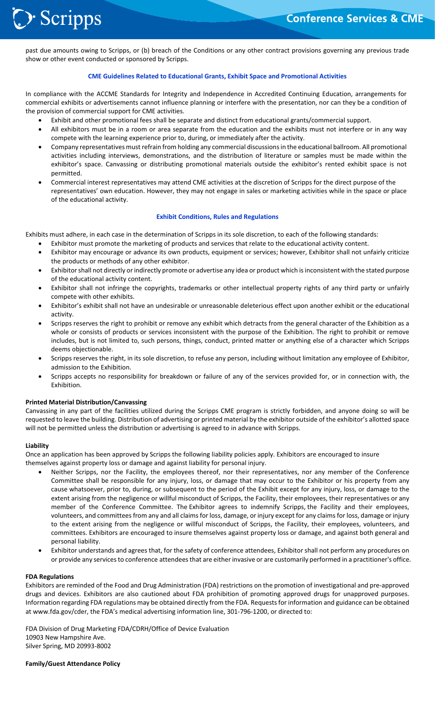

past due amounts owing to Scripps, or (b) breach of the Conditions or any other contract provisions governing any previous trade show or other event conducted or sponsored by Scripps.

# **CME Guidelines Related to Educational Grants, Exhibit Space and Promotional Activities**

In compliance with the ACCME Standards for Integrity and Independence in Accredited Continuing Education, arrangements for commercial exhibits or advertisements cannot influence planning or interfere with the presentation, nor can they be a condition of the provision of commercial support for CME activities.

- Exhibit and other promotional fees shall be separate and distinct from educational grants/commercial support.
- All exhibitors must be in a room or area separate from the education and the exhibits must not interfere or in any way compete with the learning experience prior to, during, or immediately after the activity.
- Company representatives must refrain from holding any commercial discussions in the educational ballroom. All promotional activities including interviews, demonstrations, and the distribution of literature or samples must be made within the exhibitor's space. Canvassing or distributing promotional materials outside the exhibitor's rented exhibit space is not permitted.
- Commercial interest representatives may attend CME activities at the discretion of Scripps for the direct purpose of the representatives' own education. However, they may not engage in sales or marketing activities while in the space or place of the educational activity.

# **Exhibit Conditions, Rules and Regulations**

Exhibits must adhere, in each case in the determination of Scripps in its sole discretion, to each of the following standards:

- Exhibitor must promote the marketing of products and services that relate to the educational activity content.
- Exhibitor may encourage or advance its own products, equipment or services; however, Exhibitor shall not unfairly criticize the products or methods of any other exhibitor.
- Exhibitor shall not directly or indirectly promote or advertise any idea or product which is inconsistent with the stated purpose of the educational activity content.
- Exhibitor shall not infringe the copyrights, trademarks or other intellectual property rights of any third party or unfairly compete with other exhibits.
- Exhibitor's exhibit shall not have an undesirable or unreasonable deleterious effect upon another exhibit or the educational activity.
- Scripps reserves the right to prohibit or remove any exhibit which detracts from the general character of the Exhibition as a whole or consists of products or services inconsistent with the purpose of the Exhibition. The right to prohibit or remove includes, but is not limited to, such persons, things, conduct, printed matter or anything else of a character which Scripps deems objectionable.
- Scripps reserves the right, in its sole discretion, to refuse any person, including without limitation any employee of Exhibitor, admission to the Exhibition.
- Scripps accepts no responsibility for breakdown or failure of any of the services provided for, or in connection with, the Exhibition.

# **Printed Material Distribution/Canvassing**

Canvassing in any part of the facilities utilized during the Scripps CME program is strictly forbidden, and anyone doing so will be requested to leave the building. Distribution of advertising or printed material by the exhibitor outside of the exhibitor's allotted space will not be permitted unless the distribution or advertising is agreed to in advance with Scripps.

# **Liability**

Once an application has been approved by Scripps the following liability policies apply. Exhibitors are encouraged to insure themselves against property loss or damage and against liability for personal injury.

- Neither Scripps, nor the Facility, the employees thereof, nor their representatives, nor any member of the Conference Committee shall be responsible for any injury, loss, or damage that may occur to the Exhibitor or his property from any cause whatsoever, prior to, during, or subsequent to the period of the Exhibit except for any injury, loss, or damage to the extent arising from the negligence or willful misconduct of Scripps, the Facility, their employees, their representatives or any member of the Conference Committee. The Exhibitor agrees to indemnify Scripps, the Facility and their employees, volunteers, and committees from any and all claims for loss, damage, or injury except for any claims for loss, damage or injury to the extent arising from the negligence or willful misconduct of Scripps, the Facility, their employees, volunteers, and committees. Exhibitors are encouraged to insure themselves against property loss or damage, and against both general and personal liability.
- Exhibitor understands and agrees that, for the safety of conference attendees, Exhibitor shall not perform any procedures on or provide any services to conference attendees that are either invasive or are customarily performed in a practitioner's office.

# **FDA Regulations**

Exhibitors are reminded of the Food and Drug Administration (FDA) restrictions on the promotion of investigational and pre‐approved drugs and devices. Exhibitors are also cautioned about FDA prohibition of promoting approved drugs for unapproved purposes. Information regarding FDA regulations may be obtained directly from the FDA. Requests for information and guidance can be obtained at www.fda.gov/cder, the FDA's medical advertising information line, 301‐796‐1200, or directed to:

FDA Division of Drug Marketing FDA/CDRH/Office of Device Evaluation 10903 New Hampshire Ave. Silver Spring, MD 20993‐8002

**Family/Guest Attendance Policy**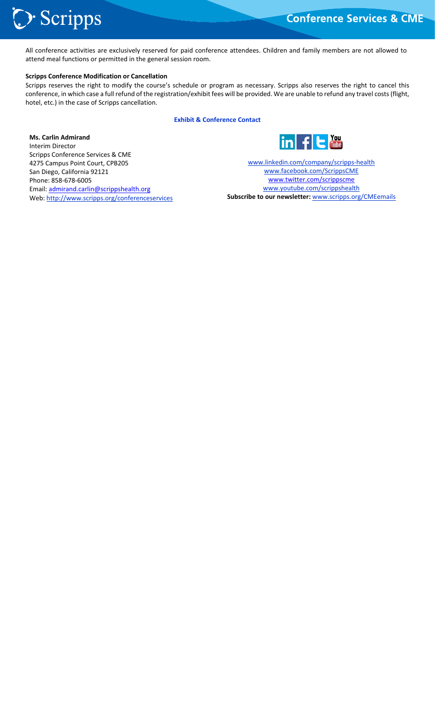# > Scripps

All conference activities are exclusively reserved for paid conference attendees. Children and family members are not allowed to attend meal functions or permitted in the general session room.

# **Scripps Conference Modification or Cancellation**

Scripps reserves the right to modify the course's schedule or program as necessary. Scripps also reserves the right to cancel this conference, in which case a full refund of the registration/exhibit fees will be provided. We are unable to refund any travel costs (flight, hotel, etc.) in the case of Scripps cancellation.

**Exhibit & Conference Contact** 

**Ms. Carlin Admirand**  Interim Director Scripps Conference Services & CME 4275 Campus Point Court, CPB205 San Diego, California 92121 Phone: 858‐678‐6005 Email: admirand.carlin@scrippshealth.org Web: http://www.scripps.org/conferenceservices



www.linkedin.com/company/scripps‐health www.facebook.com/ScrippsCME www.twitter.com/scrippscme www.youtube.com/scrippshealth **Subscribe to our newsletter:** www.scripps.org/CMEemails